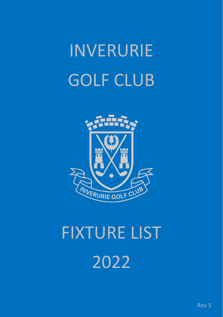# INVERURIE GOLF CLUB



# FIXTURE LIST 2022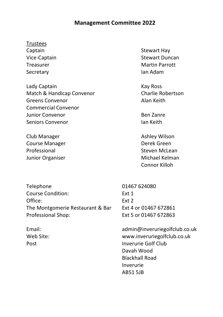### **Management Committee 2022**

### Trustees

Captain **Stewart Hay** Secretary **Ian Adam** 

Lady Captain **Kay Ross** Match & Handicap Convenor Charlie Robertson Greens Convenor **Alan Keith** Commercial Convenor Junior Convenor and Ben Zanre Seniors Convenor **Ian Keith** 

Club Manager **Ashley Wilson** Course Manager **Derek Green** Professional Steven McLean Junior Organiser **Michael Kelman** 

Vice-Captain Stewart Duncan Treasurer Martin Parrott

Connor Killoh

Telephone 01467 624080 Course Condition: Ext 1 Office: Ext 2 The Montgomerie Restaurant & Bar Ext 4 or 01467 672861 Professional Shop: Ext 5 or 01467 672863

Email: admin@inveruriegolfclub.co.uk Web Site: www.inveruriegolfclub.co.uk Post **Inverurie Golf Club** Davah Wood Blackhall Road Inverurie AB51 5JB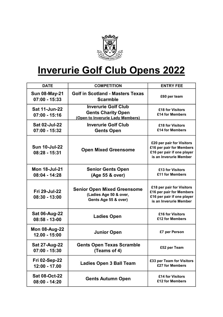

## Inverurie Golf Club Opens 2022

| <b>DATE</b>                             | <b>COMPETITION</b>                                                                          | <b>ENTRY FEE</b>                                                                                              |
|-----------------------------------------|---------------------------------------------------------------------------------------------|---------------------------------------------------------------------------------------------------------------|
| <b>Sun 08-May-21</b><br>$07:00 - 15:33$ | <b>Golf in Scotland - Masters Texas</b><br><b>Scarmble</b>                                  | £60 per team                                                                                                  |
| <b>Sat 11-Jun-22</b><br>$07:00 - 15:16$ | <b>Inverurie Golf Club</b><br><b>Gents Charity Open</b><br>(Open to Inverurie Lady Members) | £18 for Visitors<br>£14 for Members                                                                           |
| Sat 02-Jul-22<br>$07:00 - 15:32$        | <b>Inverurie Golf Club</b><br><b>Gents Open</b>                                             | £18 for Visitors<br>£14 for Members                                                                           |
| <b>Sun 10-Jul-22</b><br>$08:28 - 15:31$ | <b>Open Mixed Greensome</b>                                                                 | £20 per pair for Visitors<br>£16 per pair for Members<br>£16 per pair if one player<br>is an Inverurie Member |
| <b>Mon 18-Jul-21</b><br>$08:04 - 14:28$ | <b>Senior Gents Open</b><br>(Age 55 & over)                                                 | £13 for Visitors<br>£11 for Members                                                                           |
| Fri 29-Jul-22<br>$08:30 - 13:00$        | <b>Senior Open Mixed Greensome</b><br>(Ladies Age 50 & over,<br>Gents Age 55 & over)        | £18 per pair for Visitors<br>£16 per pair for Members<br>£16 per pair if one player<br>is an Inverurie Member |
| <b>Sat 06-Aug-22</b><br>$08:58 - 13-00$ | <b>Ladies Open</b>                                                                          | £16 for Visitors<br>£12 for Members                                                                           |
| <b>Mon 08-Aug-22</b><br>$12.00 - 15:00$ | <b>Junior Open</b>                                                                          | £7 per Person                                                                                                 |
| Sat 27-Aug-22<br>$07:00 - 15:30$        | <b>Gents Open Texas Scramble</b><br>(Teams of 4)                                            | £52 per Team                                                                                                  |
| <b>Fri 02-Sep-22</b><br>$12:00 - 17.00$ | <b>Ladies Open 3 Ball Team</b>                                                              | £33 per Team for Visitors<br>£27 for Members                                                                  |
| <b>Sat 08-Oct-22</b><br>$08:00 - 14:20$ | <b>Gents Autumn Open</b>                                                                    | £14 for Visitors<br>£12 for Members                                                                           |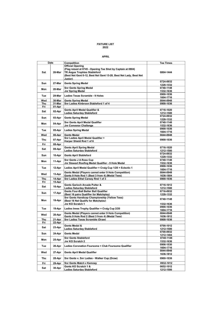#### FIXTURE LIST 2022

|     | Date   | Competition<br><b>Official Opening</b>                                                                                                                                  | <b>Tee Times</b>       |
|-----|--------|-------------------------------------------------------------------------------------------------------------------------------------------------------------------------|------------------------|
| Sat | 26-Mar | (Flag raised at 0745 - Opening Tee Shot by Captain at 0804)<br><b>TR Angus Trophies Stableford</b><br>(Best Net Gent 0-12, Best Net Gent 13-28, Best Net Lady, Best Net | 0804-1444              |
|     |        | Junior)                                                                                                                                                                 |                        |
| Sun | 27-Mar | <b>Gents Spring Medal</b>                                                                                                                                               | 0724-0932              |
|     |        |                                                                                                                                                                         | 1228-1332              |
| Mon | 28-Mar | <b>Snr Gents Spring Medal</b>                                                                                                                                           | 0740-1148              |
|     |        | <b>Jnr Spring Medal</b>                                                                                                                                                 | 1532-1636<br>0900-1036 |
| Tue | 29-Mar | <b>Ladies Texas Scramble - 9 Holes</b>                                                                                                                                  | 1604-1716              |
| Wed | 30-Mar | <b>Gents Spring Medal</b>                                                                                                                                               | 0844-0948              |
| Thu | 31-Mar | Snr Ladies Kinbroon Stableford 1 of 4                                                                                                                                   | 0900-1036              |
| Fri | 01-Apr |                                                                                                                                                                         |                        |
| Sat | 02-Apr | Gents April Medal Qualifier &<br>Ladies Saturday Stableford                                                                                                             | 0716-1020<br>1212-1500 |
| Sun | 03-Apr | <b>Gents Spring Medal</b>                                                                                                                                               | 0724-0932              |
|     |        |                                                                                                                                                                         | 1228-1332              |
| Mon | 04-Apr | <b>Snr Gents April Medal Qualifier</b>                                                                                                                                  | 0740-1148              |
|     |        | <b>Jnr Convenor Challenge</b>                                                                                                                                           | 1532-1636<br>0900-1036 |
| Tue | 05-Apr | <b>Ladies Spring Medal</b>                                                                                                                                              | 1604-1716              |
| Wed | 06-Apr | <b>Gents Medal</b>                                                                                                                                                      | 0844-0948              |
| Thu | 07-Apr | Snr Ladies April Medal Qualifier +                                                                                                                                      | 0900-1036              |
|     |        | Harper Shield Rnd 1 of 6                                                                                                                                                |                        |
| Fri | 08-Apr |                                                                                                                                                                         |                        |
| Sat | 09-Apr | <b>Gents April Spring Medal</b>                                                                                                                                         | 0716-1020              |
|     |        | Ladies Saturday Stableford                                                                                                                                              | 1212-1500<br>0724-0932 |
| Sun | 10-Apr | <b>Gents April Stableford</b>                                                                                                                                           | 1228-1332              |
| Mon |        | Snr Gents J A Ross Cup                                                                                                                                                  | 0740-1148              |
|     | 11-Apr | Jnr Stewart Roofing Medal Qualifier - 9 Hole Medal                                                                                                                      | 1532-1636              |
| Tue | 12-Apr | Ladies April Medal Qualifier + Craig Cup 1/20 + Eclectic 1                                                                                                              | 0900-1036              |
|     |        | Gents Medal (Players cannot enter 9 Hole Competition)                                                                                                                   | 1604-1716<br>0844-0948 |
| Wed | 13-Apr | Gents 9 Hole Rnd 1 (Best 3 from 4) (Medal Tees)                                                                                                                         | 1636-1804              |
| Thu | 14-Apr | Snr Ladies Ethel Carsey Rnd 1 of 3                                                                                                                                      | 0900-1036              |
| Fri | 15-Apr |                                                                                                                                                                         |                        |
| Sat | 16-Apr | Gents Garioch Arcade Putter &                                                                                                                                           | 0716-1012              |
|     |        | <b>Ladies Saturday Stableford</b>                                                                                                                                       | 1212-1500              |
| Sun | 17-Apr | Gents Four-Ball Better Ball Qualifier<br>(Best 16 pairs Qualifier for Matchplay)                                                                                        | 0716-0932<br>1228-1332 |
|     |        | Snr Gents Handicap Championship (Yellow Tees)                                                                                                                           |                        |
| Mon | 18-Apr | (Best 16 Net Qualify for Matchplay)                                                                                                                                     | 0740-1148              |
|     |        | Jnr KO Scratch 1                                                                                                                                                        | 1532-1636              |
| Tue | 19-Apr | Ladies Innes Trophy Qualifier + Craig Cup 2/20                                                                                                                          | 0900-1036              |
|     |        |                                                                                                                                                                         | 1604-1716              |
| Wed | 20-Apr | Gents Medal (Players cannot enter 9 Hole Competition)<br>Gents 9 Hole Rnd 2 (Best 3 from 4) (Medal Tees)                                                                | 0844-0948              |
| Thu | 21-Apr | Snr Ladies Texas Scramble (Draw)                                                                                                                                        | 1636-1812<br>0900-1036 |
| Fri | 22-Apr |                                                                                                                                                                         |                        |
| Sat | 23-Apr | Gents Medal &                                                                                                                                                           | 0700-1012              |
|     |        | <b>Ladies Saturday Stableford</b>                                                                                                                                       | 1212-1500              |
| Sun | 24-Apr | <b>Gents Medal</b>                                                                                                                                                      | 0700-0932              |
|     |        | <b>Snr Gents Stableford</b>                                                                                                                                             | 1212-1404<br>0740-1148 |
| Mon | 25-Apr | Jnr KO Scratch 2                                                                                                                                                        | 1532-1636              |
| Tue | 26-Apr | Ladies Coronation Foursome + Club Foursome Qualifier                                                                                                                    | 0906-1030<br>1604-1716 |
|     |        |                                                                                                                                                                         | 0844-0948              |
| Wed | 27-Apr | <b>Gents April Medal Qualifier</b>                                                                                                                                      | 1636-1812              |
| Thu | 28-Apr | Snr Gents v. Snr Ladies - Walker Cup (Draw)                                                                                                                             | 0900-1036              |
| Fri | 29-Apr | Snr Gents Match v Kemnay                                                                                                                                                | 0932-1012              |
| Sat | 30-Apr | Gents KO Scratch 1 &                                                                                                                                                    | 0652-1012              |
|     |        | <b>Ladies Saturday Stableford</b>                                                                                                                                       | 1212-1500              |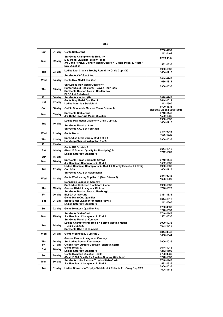| Sun | 01-May           | <b>Gents Stableford</b>                                                            | 0700-0932<br>1212-1404     |
|-----|------------------|------------------------------------------------------------------------------------|----------------------------|
|     |                  | Snr Gents Championship Rnd. 1 +<br>May Medal Qualifier (Yellow Tees)               | 0740-1148                  |
| Mon | 02-May           | Jnr John Percival Joinery Medal Qualifier - 9 Hole Medal & Hector<br>Day Qualifier | 1532-1636                  |
|     |                  |                                                                                    | 0900-1036                  |
| Tue | 03-May           | Ladies Last Chance Trophy Round 1 + Craig Cup 3/20<br>Snr Gents CADS at Alford     | 1604-1716                  |
|     |                  |                                                                                    | 0844-0948                  |
| Wed | 04-May           | <b>Gents May Medal Qualifier</b>                                                   | 1636-1812                  |
| Thu |                  | Snr Ladies May Medal Qualifier +<br>Harper Shield Rnd 2 of 6 + Davah Rnd 1 of 5    | 0900-1036                  |
|     | 05-May           | Snr Gents Buchan Tour at Cruden Bay                                                |                            |
|     |                  | <b>BLSGA at Peterhead</b>                                                          |                            |
| Fri | 06-May           | Snr Gents v Alford (H)<br>Gents May Medal Qualifier &                              | 0828-0948<br>0644-1012     |
| Sat | 07-May           | <b>Ladies Saturday Stableford</b>                                                  | 1212-1500                  |
|     |                  | Golf in Scotland - Masters Texas Scarmble                                          | 0700-1533                  |
| Sun | 08-May           |                                                                                    | (Course Closed until 1604) |
| Mon | 09-May           | <b>Snr Gents Stableford</b><br>Jnr Gibbs Inverurie Medal Qualifier                 | 0740-1148<br>1532-1636     |
|     |                  |                                                                                    | 0900-1036                  |
| Tue | 10-May           | Ladies May Medal Qualifier + Craig Cup 4/20                                        | 1604-1716                  |
|     |                  | <b>Snr Gents Match at Alford</b><br><b>Snr Gents CADS at Potirthen</b>             |                            |
|     |                  |                                                                                    | 0844-0948                  |
| Wed | 11-May           | <b>Gents Medal</b>                                                                 | 1636-1820                  |
| Thu | 12-May           | Snr Ladies Ethel Carsey Rnd 2 of 3 +                                               | 0900-1036                  |
| Fri | 13-May           | Handicap Championship Rnd 1 of 3                                                   |                            |
|     |                  | Gents KO Scratch 2                                                                 |                            |
| Sat | 14-May           | (Best 16 Scratch Qualify for Matchplay) &                                          | 0644-1012<br>1212-1500     |
|     |                  | <b>Ladies Saturday Stableford</b>                                                  |                            |
| Sun | 15-Mav           |                                                                                    |                            |
| Mon | 16-May           | Snr Gents Texas Scramble (Draw)<br>Jnr Handicap Championship Rnd 1                 | 0740-1148<br>1532-1636     |
|     |                  | Ladies Handicap Championship Rnd 1 + Charity Eclectic 1 + Craig                    | 0900-1036                  |
| Tue | 17-May           | Cup 5/20                                                                           | 1604-1716                  |
|     |                  | Snr Gents CADS at Newmachar                                                        |                            |
|     |                  | Gents Wednesday Cup Rnd 1 (Best 5 from 8)                                          | 0844-0948                  |
| Wed | 18-May           | <b>Bennachie League at Kemnav</b>                                                  | 1636-1828                  |
|     |                  | Snr Ladies Kinbroon Stableford 2 of 4                                              | 0900-1036                  |
| Thu | 19-May           | <b>Gordon District League v Kintore</b>                                            | 1716-1828                  |
|     |                  | Snr Gents Buchan Tour at Newburgh                                                  |                            |
| Fri | 20-May           | <b>BLSGA</b> at Inverurie                                                          | 0831-1332                  |
|     |                  | Gents Mann Cup Qualifier                                                           | 0644-1012                  |
| Sat | 21-May           | (Best 16 Net Qualifier for Match Play) &                                           | 1212-1500                  |
|     |                  | <b>Ladies Saturday Stableford</b>                                                  | 0700-0932                  |
| Sun | 22-May           | <b>Gents McIntosh Qualifier Rnd 1</b>                                              | 1228-1332                  |
|     |                  | <b>Snr Gents Stableford</b>                                                        | 0740-1148                  |
| Mon | 23-May           | Jnr Handicap Championship Rnd 2                                                    | 1532-1636                  |
|     |                  | <b>Snr Gents Match at Kemnay</b>                                                   |                            |
| Tue | 24-May           | Ladies Championship Rnd 1 + Spring Meeting Medal<br>+ Craig Cup 6/20               | 0900-1036<br>1604-1716     |
|     |                  | <b>Snr Gents CADS at Dunecht</b>                                                   |                            |
| Wed | 25-May           | Gents Wednesday Cup Rnd 2                                                          | 0844-0948                  |
|     |                  |                                                                                    | 1636-1844                  |
| Thu |                  | Gordon Pennant League at Kemnay                                                    | 0900-1036                  |
| Fri | 26-May<br>27-May | <b>Snr Ladies Scotch Foursomes</b><br>Colony Park Juniors Golf Day (Shotgun Start) |                            |
|     |                  | Gents Medal &                                                                      | 0644-1012                  |
| Sat | 28-May           | <b>Ladies Saturday Stableford</b>                                                  | 1212-1500                  |
| Sun | 29-May           | Gents McIntosh Qualifier Rnd 2                                                     | 0700-0932                  |
|     |                  | (Best 16 Net Qualify for Final on Sunday 28th June)                                | 1228-1332                  |
| Mon | 30-May           | Snr Gents John Ramage Trophy (Stableford)                                          | 0740-1148                  |
|     |                  | Jnr Handicap Championship Rnd 3                                                    | 1532-1636<br>0900-1036     |
| Tue | 31-May           | Ladies Stevenson Trophy Stableford + Eclectic 2 + Craig Cup 7/20                   | 1604-1716                  |

MAY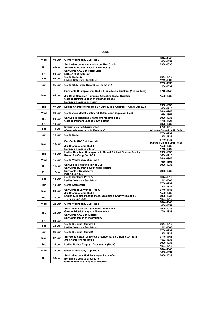| <b>JUNE</b> |  |
|-------------|--|
|             |  |

| Wed        | 01-Jun     | Gents Wednesday Cup Rnd 3                                                                                                            | 0844-0948                               |
|------------|------------|--------------------------------------------------------------------------------------------------------------------------------------|-----------------------------------------|
|            |            |                                                                                                                                      | 1636-1852                               |
| <b>Thu</b> | 02-Jun     | Snr Ladies June Medal + Harper Rnd 3 of 6<br><b>Snr Gents Buchan Tour at Inverallochv</b>                                            | 0900-1036                               |
|            |            | Snr Gents CADS at Peterculter                                                                                                        |                                         |
| Fri        | 03-Jun     | <b>BSLGA at Olmeldrum</b>                                                                                                            |                                         |
| Sat        | 04-Jun     | Gents Medal &                                                                                                                        | 0644-1012                               |
|            |            | Ladies Saturday Stableford                                                                                                           | 1212-1500                               |
| Sun        | 05-Jun     | Gents Club Texas Scramble (Teams of 4)                                                                                               | 0700-0956<br>1204-1332                  |
|            |            | Snr Gents Championship Rnd 2 + June Medal Qualifier (Yellow Tees)                                                                    | 0740-1148                               |
| Mon        | 06-Jun     | Jnr Doug Cameron Plumbing & Heating Medal Qualifier<br>Gordon District League at Meldrum House<br><b>Bennachie League at Turriff</b> | 1532-1636                               |
| Tue        | 07-Jun     | Ladies Championship Rnd 2 + June Medal Qualifier + Craig Cup 8/20                                                                    | 0900-1036<br>1604-1716                  |
| Wed        | 08-Jun     | Gents June Medal Qualifier & C Jamieson Cup (over 55's)                                                                              | 0844-0948<br>1636-1852                  |
|            |            | Snr Ladies Handicap Championship Rnd 2 of 3                                                                                          | 0900-1036                               |
| <b>Thu</b> | 09-Jun     | Gordon Pennant League v Craibstone                                                                                                   | 1716-1828                               |
| Fri        | 10-Jun     |                                                                                                                                      | 0828-1332                               |
| Sat        | 11-Jun     | <b>Inverurie Gents Charity Open</b>                                                                                                  | 0700-1516                               |
|            |            | (Open to Inverurie Lady Members)                                                                                                     | (Course Closed until 1540)<br>0700-0932 |
| Sun        | $12 - Jun$ | <b>Gents Medal</b>                                                                                                                   | 1228-1332                               |
|            |            |                                                                                                                                      | 0740-1436                               |
| Mon        | 13-Jun     | <b>Snr Gents CADS at Inverurie</b>                                                                                                   | (Course Closed until 1452)              |
|            |            | Jnr Championship Rnd 1                                                                                                               | 1532-1636                               |
|            |            | <b>Bennachie League v Ellon</b>                                                                                                      | 1716-1828                               |
| Tue        | $14$ -Jun  | Ladies Handicap Championship Round 2 + Last Chance Trophy                                                                            | 0900-1036                               |
|            |            | Round 2 + Craig Cup 9/20                                                                                                             | 1604-1716                               |
| Wed        | 15-Jun     | Gents Wednesday Cup Rnd 4                                                                                                            | 0844-0948<br>1636-1852                  |
| Thu        | 16-Jun     | <b>Snr Ladies Christine Tavlor Cup</b>                                                                                               | 0900-1036                               |
| Fri        | 17-Jun     | Snr Gents Buchan Tour at Oldmeldrum<br><b>Snr Gents v Rosehearty</b>                                                                 | 0956-1036                               |
|            |            | <b>BSLGA at Ellon</b>                                                                                                                |                                         |
| Sat        | 18-Jun     | Gents Captain's Prize &                                                                                                              | 0644-1012                               |
|            |            | Ladies Saturday Stableford                                                                                                           | 1212-1500<br>0700-0932                  |
| Sun        | 19-Jun     | <b>Gents Stableford</b>                                                                                                              | 1228-1332                               |
| Mon        | $20 - Jun$ | <b>Snr Gents N.Lawrence Trophy</b>                                                                                                   | 0740-1148                               |
|            |            | Jnr Championship Rnd 2                                                                                                               | 1532-1636                               |
| Tue        | $21 - Jun$ | Ladies Summer Meeting Medal Qualifier + Charity Eclectic 2                                                                           | 0900-1036                               |
|            |            | + Craig Cup 10/20                                                                                                                    | 1604-1716<br>0844-0948                  |
| Wed        | 22-Jun     | Gents Wednesday Cup Rnd 5                                                                                                            | 1636-1852                               |
|            |            | Snr Ladies Kinbroon Stableford Rnd 3 of 4                                                                                            | 0900-1036                               |
|            |            | Gordon District League v Newmachar                                                                                                   | 1716-1828                               |
| Thu        | 23-Jun     | <b>Snr Gents CADS at Kintore</b>                                                                                                     |                                         |
|            |            | <b>Snr Gents Match at Inverallochy</b>                                                                                               |                                         |
| Fri        | 24-Jun     |                                                                                                                                      |                                         |
| Sat        | 25-Jun     | Gents D Sorrie Round 1 &<br><b>Ladies Saturday Stableford</b>                                                                        | 0644-1012<br>1212-1500                  |
|            |            |                                                                                                                                      | 0700-0932                               |
| Sun        | 26-Jun     | Gents D Sorrie Round 2                                                                                                               | 1228-1332                               |
| Mon        | 27-Jun     | Snr Gents 6x6x6 (Draw)(6 x Greensome, 6 x 2 Ball, 6 x 4 Ball)<br>Jnr Championship Rnd 3                                              | 0740-1148<br>1532-1636                  |
| Tue        | 28-Jun     | Ladies Barber Trophy - Greensome (Draw)                                                                                              | 0900-1036                               |
| Wed        | 29-Jun     | Gents Wednesday Cup Rnd 6                                                                                                            | 1604-1716<br>0844-0948                  |
|            |            |                                                                                                                                      | 1636-1852                               |
| Thu        | $30 - Jun$ | Snr Ladies July Medal + Harper Rnd 4 of 6                                                                                            | 0900-1036                               |
|            |            | <b>Bennachie League at Kintore</b><br><b>Gordon Pennant League at Westhill</b>                                                       |                                         |
|            |            |                                                                                                                                      |                                         |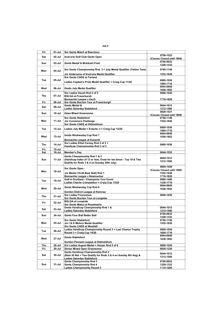| Fri | 01-Jul     | <b>Snr Gents Match at Banchory</b>                                   |                                         |
|-----|------------|----------------------------------------------------------------------|-----------------------------------------|
| Sat | 02-Jul     | Inverurie Golf Club Gents Open                                       | 0700-1532                               |
|     |            |                                                                      | (Course Closed until 1604)              |
| Sun | 03-Jul     | Gents Medal & McIntosh Final                                         | 0700-0932                               |
|     |            |                                                                      | 1228-1332                               |
| Mon | 04-Jul     | Snr Gents Championship Rnd. 3 + July Medal Qualifier (Yellow Tees)   | 0740-1148                               |
|     |            | Jnr Andersons of Inverurie Medal Qualifier                           | 1532-1636                               |
|     |            | Snr Gents CADS at Tarland                                            |                                         |
| Tue | 05-Jul     |                                                                      | 0900-1036                               |
|     |            | Ladies Captain's Prize Medal Qualifier + Craig Cup 11/20             | 1604-1716                               |
|     |            |                                                                      | 0844-0948                               |
| Wed | 06-Jul     | <b>Gents July Medal Qualifier</b>                                    | 1636-1852                               |
|     |            | Snr Ladies Davah Rnd 2 of 5                                          | 0900-1036                               |
| Thu | 07-Jul     | <b>BSLGA at Fraserburgh</b>                                          |                                         |
|     |            | Bennachie League v Insch                                             | 1716-1828                               |
| Fri | 08-Jul     | Snr Gents Buchan Tour at Fraserburgh                                 |                                         |
| Sat | 09-Jul     | Gents Medal &                                                        | 0644-1012                               |
|     |            | <b>Ladies Saturday Stableford</b>                                    | 1212-1500                               |
| Sun | $10 -$ Jul | <b>Open Mixed Greensome</b>                                          | 0828-1531                               |
|     |            | <b>Snr Gents Stableford</b>                                          | (Course Closed until 1600)<br>0740-1148 |
| Mon | 11-Jul     |                                                                      |                                         |
|     |            | <b>Jnr Convenors Challenge</b><br>Snr Gents CADS at Oldmeldrum       | 1532-1636                               |
|     |            |                                                                      | 0900-1036                               |
| Tue | 12-Jul     | Ladies July Medal + Eclectic 3 + Craig Cup 12/20                     | 1604-1716                               |
|     |            |                                                                      | 0844-0948                               |
| Wed | $13 -$ Jul | Gents Wednesday Cup Rnd 7                                            | 1636-1852                               |
|     |            | <b>Bennachie League at Dunecht</b>                                   |                                         |
| Thu | 14-Jul     | Snr Ladies Ethel Carsey Rnd 3 of 3 +                                 | 0900-1036                               |
|     |            | Handicap Championship Rnd 3 of 3                                     |                                         |
| Fri | 15-Jul     |                                                                      |                                         |
| Sat | 16-Jul     | Member's Day                                                         | 0644-1532                               |
|     |            | Gents Championship Rnd 1 & 2                                         | 0644-1012                               |
| Sun | 17-Jul     | (Handicap Index of 12 or less. Draw for tee times - Top 18 & Ties    | 1212-1500                               |
|     |            | Qualify for Rnds 3 & 4 on Sunday 25th July)                          |                                         |
|     |            |                                                                      | 0804-1428                               |
| Mon | 18-Jul     | <b>Snr Gents Open</b>                                                | (Course Closed until 1500)              |
|     |            | Jnr Medal (19-36 Best Nett) Rnd 1                                    | 1532-1636                               |
|     |            | Bennachie League v Newmachar                                         | 1716-1828                               |
| Tue | 19-Jul     | Golf in Scotland - Champions Tour Event                              | 0800-1400                               |
|     |            | Ladies Charity Competition + Craig Cup 13/20                         | 1430-1716                               |
|     |            | Gents Wednesday Cup Rnd 8                                            | 0844-0948                               |
| Wed | $20 -$ Jul |                                                                      | 1636-1852                               |
|     |            | Gordon District League at Kemnay                                     |                                         |
| Thu | 21-Jul     | <b>Snr Ladies Foursomes</b>                                          | 0900-1036                               |
|     |            | <b>Snr Gents Buchan Tour at Longside</b><br><b>BSLGA at Longside</b> |                                         |
| Fri | 22-Jul     | <b>Snr Gents Match at Rosehearty</b>                                 |                                         |
|     |            | Gents Handicap Championship Rnd 1 &                                  | 0644-1012                               |
| Sat | $23 -$ Jul | <b>Ladies Saturday Stableford</b>                                    | 1212-1500                               |
| Sun | 24-Jul     | <b>Gents Four Ball Better Ball</b>                                   | 0700-0932                               |
|     |            |                                                                      | 1228-1332                               |
|     |            | <b>Snr Gents Stableford</b>                                          | 0740-1148                               |
| Mon | 25-Jul     | Jnr I & K Motors Medal Qualifier                                     | 1532-1636                               |
|     |            | Snr Gents CADS at Westhill                                           |                                         |
| Tue | 26-Jul     | Ladies Handicap Championship Round 3 + Last Chance Trophy            | 0900-1036                               |
|     |            | Round 3 + Craig Cup 14/20                                            | 1604-1716                               |
| Wed | $27 -$ Jul | <b>Gents Stableford</b>                                              | 0844-0948<br>1636-1852                  |
|     |            | Gordon Pennant League at Oldmeldrum                                  |                                         |
| Thu | 28-Jul     | Snr Ladies August Medal + Harper Rnd 5 of 6                          | 0900-1036                               |
| Fri | 29-Jul     | <b>Senior Mixed Open Greensome</b>                                   | 0828-1236                               |
|     |            | Gents Handicap Championship Rnd 2                                    |                                         |
| Sat | 30-Jul     | (Best 30 Net + Ties Qualify for Rnds 3 & 4 on Sunday 8th Aug) &      | 0644-1012                               |
|     |            | <b>Ladies Saturday Stableford</b>                                    | 1212-1500                               |
|     |            | <b>Gents Championship Rnd 3</b>                                      | 0700-0932                               |
| Sun | 31-Jul     | Gents Championship Rnd 4                                             | 1228-1332                               |
|     |            | <b>Ladies Championship Round 3</b>                                   | 1115-1200                               |

JULY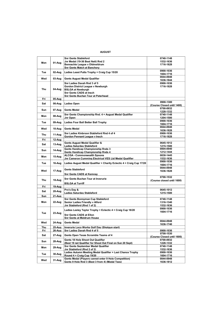| . |
|---|
|---|

|            |        | <b>Snr Gents Stableford</b>                                          | 0740-1148                               |
|------------|--------|----------------------------------------------------------------------|-----------------------------------------|
| Mon        | 01-Aug | Jnr Medal (19-36 Best Nett) Rnd 2                                    | 1532-1636                               |
|            |        | Bennachie League v Oldmeldrum                                        | 1716-1828                               |
|            |        | <b>Snr Gents Match at Banchory</b>                                   |                                         |
| Tue        | 02-Aug | Ladies Least Putts Trophy + Craig Cup 15/20                          | 0900-1036                               |
|            |        |                                                                      | 1604-1716                               |
| Wed        | 03-Aug | <b>Gents August Medal Qualifier</b>                                  | 0844-0948                               |
|            |        |                                                                      | 1636-1844                               |
|            |        | Snr Ladies Davah Rnd 3 of 5                                          | 0900-1036                               |
|            |        | Gordon District League v Newburgh                                    | 1716-1828                               |
| Thu        | 04-Aug | <b>BSLGA at Newburgh</b>                                             |                                         |
|            |        | Snr Gents CADS at Insch                                              |                                         |
|            |        | Snr Gents Buchan Tour at Peterhead                                   |                                         |
| Fri        | 05-Aug |                                                                      |                                         |
| Sat        | 06-Aug | <b>Ladies Open</b>                                                   | 0900-1300<br>(Course Closed until 1400) |
|            |        |                                                                      | 0700-0932                               |
| Sun        | 07-Aug | <b>Gents Medal</b>                                                   | 1228-1332                               |
|            |        | Snr Gents Championship Rnd, 4 + August Medal Qualifier               | 0740-1148                               |
| Mon        | 08-Aug | Jnr Open                                                             | 1204-1500                               |
|            |        |                                                                      | 0900-1036                               |
| Tue        | 09-Aug | Ladies Four Ball Better Ball Trophy                                  | 1604-1716                               |
|            |        |                                                                      | 0844-0948                               |
| Wed        | 10-Aug | <b>Gents Medal</b>                                                   | 1636-1828                               |
|            |        | Snr Ladies Kinbroon Stableford Rnd 4 of 4                            | 0900-1036                               |
| Thu        | 11-Aug | Gordon Pennant League v Insch                                        | 1716-1828                               |
| Fri        | 12-Aug |                                                                      |                                         |
|            |        | Gents August Medal Qualifier &                                       | 0645-1012                               |
| Sat        | 13-Aug | <b>Ladies Saturday Stableford</b>                                    | 1215-1500                               |
| Sun        | 14-Aug | <b>Gents Handicap Championship Rnds 3</b>                            | 0804-0940                               |
|            |        | Gents Handicap Championship Rnds 4                                   | 1212-1444                               |
| Mon        | 15-Aug | <b>ALCGA - Commonwealth Spoons</b>                                   | 0830-1445                               |
|            |        | Jnr Cameron Cumming Electrical VES Ltd Medal Qualifier               | 1532-1636                               |
| Tue        | 16-Aug | Ladies August Medal Qualifier + Charity Eclectic 4 + Craig Cup 17/20 | 0900-1036                               |
|            |        |                                                                      | 1604-1716                               |
|            |        | <b>Gents Stableford</b>                                              | 0844-0948                               |
| Wed        | 17-Aug |                                                                      | 1636-1828                               |
|            |        | <b>Snr Gents CADS at Kemnav</b>                                      | 0700-1532                               |
| Thu        | 18-Aug | Snr Gents Buchan Tour at Inverurie                                   | (Course closed until 1600)              |
|            |        | <b>BSLGA at Turriff</b>                                              |                                         |
| Fri        | 19-Aug |                                                                      |                                         |
|            |        | Pro's Day &                                                          | 0645-1012                               |
| Sat        | 20-Aug | <b>Ladies Saturday Stableford</b>                                    | 1215-1500                               |
| Sun        | 21-Aug |                                                                      |                                         |
|            |        | <b>Snr Gents Bonnyman Cup Stableford</b>                             | 0740-1148                               |
| Mon        | 22-Aug | Senior Ladies Friendly v Alford                                      | 1316-1340                               |
|            |        | Jnr Stableford (Rnd 1 of 2)                                          | 1532-1636                               |
|            |        | Ladies Lesley Taylor Trophy + Eclectic 4 + Craig Cup 18/20           | 0900-1036                               |
| Tue        | 23-Aug |                                                                      | 1604-1716                               |
|            |        | <b>Snr Gents CADS at Ellon</b>                                       |                                         |
|            |        | <b>Snr Gents at Meldrum House</b>                                    |                                         |
| Wed        | 24-Aug | <b>Gents Medal</b>                                                   | 0844-0948                               |
|            |        |                                                                      | 1636-1740                               |
| <b>Thu</b> | 25-Aua | Inverurie Loco Works Golf Day (Shotgun start)                        |                                         |
| Fri        | 26-Aug | Snr Ladies Davah Rnd 4 of 5                                          | 0900-1036                               |
| Sat        | 27-Aug | Gents Open Texas Scramble Teams of 4                                 | 0700-1530                               |
|            |        | Gents 18 Hole Shoot Out Qualifier                                    | (Course Closed until 1600)              |
| Sun        | 28-Aug | (Best 19 net Qualifier for Shoot Out Final on Sun 20 Sept)           | 0700-0932                               |
|            |        | <b>Snr Gents September Medal Qualifier</b>                           | 1228-1332<br>0740-1148                  |
| Mon        | 29-Aug | Jnr Stableford (Rnd 2 of 2)                                          | 1532-1636                               |
|            |        | Ladies Autumn Meeting Medal Qualifier + Last Chance Trophy           | 0900-1036                               |
| Tue        | 30-Aug | Round 4 + Craig Cup 19/20                                            | 1604-1716                               |
|            |        | Gents Medal (Players cannot enter 9 Hole Competition)                | 0844-0948                               |
| Wed        | 31-Aug | Gents 9 Hole Rnd 3 (Best 3 from 4) (Medal Tees)                      | 1636-1812                               |
|            |        |                                                                      |                                         |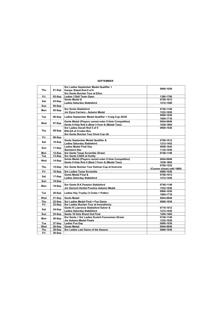#### SEPTEMBER

|     |        | Snr Ladies September Medal Qualifier +                | 0900-1036                  |
|-----|--------|-------------------------------------------------------|----------------------------|
| Thu | 01-Sep | Harper Shield Rnd 6 of 6                              |                            |
|     |        | Snr Gents Buchan Tour at Ellon                        |                            |
| Fri | 02-Sep | Ladies 3 Ball Team Open                               | 1300-1700                  |
| Sat | 03-Sep | Gents Medal &                                         | 0700-1012                  |
|     |        | <b>Ladies Saturdav Stableford</b>                     | 1212-1500                  |
| Sun | 04-Sep |                                                       |                            |
| Mon | 05-Sep | <b>Snr Gents Stableford</b>                           | 0740-1148                  |
|     |        | Jnr Dyce Carriers - Autumn Medal                      | 1532-1636                  |
| Tue | 06-Sep | Ladies September Medal Qualifier + Craig Cup 20/20    | 0900-1036                  |
|     |        |                                                       | 1604-1716                  |
| Wed | 07-Sep | Gents Medal (Players cannot enter 9 Hole Competition) | 0844-0948                  |
|     |        | Gents 9 Hole Rnd 4 (Best 3 from 4) (Medal Tees)       | 1636-1804                  |
|     |        | Snr Ladies Davah Rnd 5 of 5                           | 0900-1036                  |
| Thu | 08-Sep | <b>BSLGA at Cruden Bav</b>                            |                            |
|     |        | Snr Gents Buchan Tour Divot Cup (A)                   |                            |
| Fri | 09-Sep |                                                       |                            |
| Sat | 10-Sep | Gents September Medal Qualifier &                     | 0700-1012                  |
|     |        | <b>Ladies Saturdav Stableford</b>                     | 1212-1452                  |
| Sun | 11-Sep | <b>Ladies Medal Final Dav</b>                         | 0956-1044                  |
|     |        | <b>Sponsors Dav</b>                                   | 1132-1436                  |
| Mon | 12-Sep | Snr Gents Texas Scramble (Draw)                       | 0740-1148                  |
| Tue | 13-Sep | <b>Snr Gents CADS at Huntly</b>                       |                            |
| Wed | 14-Sep | Gents Medal (Players cannot enter 9 Hole Competition) | 0844-0948                  |
|     |        | Gents 9 Hole Rnd 4 (Best 3 from 4) (Medal Tees)       | 1636-1804                  |
| Thu | 15-Sep | Snr Gents Buchan Tour Kelman Cup at Inverurie         | 0700-1532                  |
|     |        |                                                       | (Course closed until 1600) |
| Fri | 16-Sep | <b>Snr Ladies Texas Scramble</b>                      | 0900-1036                  |
| Sat | 17-Sep | Gents Medal Final &                                   | 0708-1012                  |
|     |        | <b>Ladies Saturdav Stableford</b>                     | 1212-1436                  |
| Sun | 18-Sep |                                                       |                            |
| Mon | 19-Sep | Snr Gents B.K.Peaston Stableford                      | 0740-1148                  |
|     |        | Jnr Garioch Dental Practice Autumn Medal              | 1532-1636                  |
| Tue | 20-Sep | Ladies Hay Trophy (3 Clubs + Putter)                  | 0900-1036                  |
|     |        |                                                       | 1604-1716                  |
| Wed | 21-Sep | <b>Gents Medal</b>                                    | 0844-0948                  |
| Thu | 22-Sep | Snr Ladies Medal Final + Fun Game                     | 0900-1036                  |
| Fri | 23-Sep | <b>Snr Ladies Buchan Tour at Inverallochy</b>         |                            |
| Sat |        | Gents N Lawrence Stableford Salver &                  | 0716-1012                  |
|     | 24-Sep | <b>Ladies Saturday Stableford</b>                     | 1212-1436                  |
| Sun | 25-Sep | Gents 18 Hole Shoot Out Final                         | 1204-1404                  |
| Mon |        | Snr Gents + Snr Ladies Scotch Foursomes (Draw)        | 0740-1148                  |
|     | 26-Sep | Jnr Autumn Medal Finals                               | 1532-1636                  |
| Tue | 27-Sep | <b>Ladies Fun Dav</b>                                 | 0900-1036                  |
| Wed | 28-Sep | <b>Gents Medal</b>                                    | 0844-0948                  |
| Thu | 29-Sep | Snr Ladies Last Game of the Season                    | 0900-1036                  |
| Fri | 30-Sep |                                                       |                            |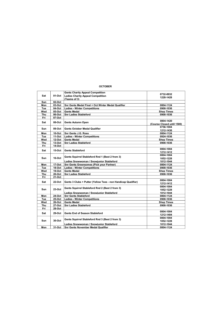r.

۳.

|            |          | <b>Gents Charity Appeal Competition</b>                       | 0732-0932                  |
|------------|----------|---------------------------------------------------------------|----------------------------|
| Sat        | 01-Oct   | <b>Ladies Charity Appeal Competition</b>                      | 1228-1428                  |
|            |          | (Teams of 3)                                                  |                            |
| Sun        | 02-Oct   |                                                               |                            |
| Mon        | 03-Oct   | Snr Gents Medal Final + Oct Winter Medal Qualifier            | 0804-1124                  |
| Tue        | 04-Oct   | <b>Ladies - Winter Competitions</b>                           | 0900-1036                  |
| Wed        | 05-Oct   | <b>Gents Medal</b>                                            | <b>Shop Times</b>          |
| <b>Thu</b> | 06-Oct   | <b>Snr Ladies Stableford</b>                                  | 0900-1036                  |
| Fri        | 07-Oct   |                                                               |                            |
| Sat        | 08-Oct   |                                                               | 0804-1420                  |
|            |          | Gents Autumn Open                                             | (Course Closed until 1500) |
| Sun        | 09-Oct   | <b>Gents October Medal Qualifier</b>                          | 0756-1004                  |
|            |          |                                                               | 1212-1436                  |
| Mon        | 10-Oct   | <b>Snr Gents J.G. Ross</b>                                    | 0804-1124                  |
| Tue        | 11-Oct   | <b>Ladies - Winter Competitions</b>                           | 0924-1036                  |
| Wed        | 12-Oct   | <b>Gents Medal</b>                                            | <b>Shop Times</b>          |
| Thu        | 13-Oct   | <b>Snr Ladies Stableford</b>                                  | 0900-1036                  |
| Fri        | $14-Oct$ |                                                               |                            |
|            |          |                                                               | 0804-1004                  |
| Sat        | $15-Oct$ | <b>Gents Stableford</b>                                       | 1212-1412                  |
|            |          | Gents Squirrel Stableford Rnd 1 (Best 2 from 3)               | 0804-1004                  |
| <b>Sun</b> | $16-Oct$ |                                                               | 1052-1228                  |
|            |          | Ladies Snowwoman / Snowiunior Stableford                      | 1012-1044                  |
| Mon        | 17-Oct   | <b>Snr Gents Greensomes (Pick your Partner)</b>               | 0804-1124                  |
| Tue        | 18-Oct   | <b>Ladies - Winter Competitions</b>                           | 0900-1036                  |
| Wed        | 19-Oct   | <b>Gents Medal</b>                                            | <b>Shop Times</b>          |
| Thu        | 20-Oct   | <b>Snr Ladies Stableford</b>                                  | 0900-1036                  |
| Fri        | 21-Oct   |                                                               |                            |
|            |          |                                                               | 0804-1004                  |
| Sat        | 22-Oct   | Gents 3 Clubs + Putter (Yellow Tees - non Handicap Qualifier) | 1212-1412                  |
|            |          |                                                               | 0804-1004                  |
| Sun        | $23-Oct$ | Gents Squirrel Stableford Rnd 2 (Best 2 from 3)               | 1052-1228                  |
|            |          | Ladies Snowwoman / Snowiunior Stableford                      | 1012-1044                  |
| Mon        | 24-Oct   | <b>Snr Gents Stableford</b>                                   | 0804-1124                  |
| Tue        | 25-Oct   | <b>Ladies - Winter Competitions</b>                           | 0900-1036                  |
| Wed        | 26-Oct   | <b>Gents Medal</b>                                            | <b>Shop Times</b>          |
| Thu        | 27-Oct   | <b>Snr Ladies Stableford</b>                                  | 0900-1036                  |
| Fri        | 28-Oct   |                                                               |                            |
|            |          |                                                               | 0804-1004                  |
| Sat        | $29-Oct$ | Gents End of Season Stableford                                | 1212-1404                  |
|            |          |                                                               | 0804-1004                  |
| <b>Sun</b> | $30-Oct$ | Gents Squirrel Stableford Rnd 3 (Best 2 from 3)               | 1052-1228                  |
|            |          | Ladies Snowwoman / Snowiunior Stableford                      | 1012-1044                  |
| Mon        | 31-Oct   | <b>Snr Gents November Medal Qualifier</b>                     | 0804-1124                  |
|            |          |                                                               |                            |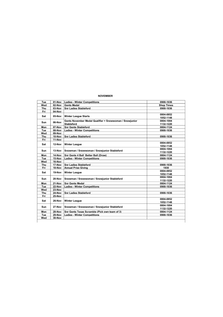| Tue        | 01-Nov | <b>Ladies - Winter Competitions</b>                     | 0900-1036         |
|------------|--------|---------------------------------------------------------|-------------------|
| Wed        | 02-Nov | <b>Gents Medal</b>                                      | <b>Shop Times</b> |
| <b>Thu</b> | 03-Nov | <b>Snr Ladies Stableford</b>                            | 0900-1036         |
| Fri        | 04-Nov |                                                         |                   |
| Sat        | 05-Nov | <b>Winter League Starts</b>                             | 0804-0852         |
|            |        |                                                         | 1052-1148         |
| Sun        | 06-Nov | Gents November Medal Qualifier + Snowwoman / Snowiunior | 0804-1004         |
|            |        | <b>Stableford</b>                                       | 1132-1220         |
| Mon        | 07-Nov | <b>Snr Gents Stableford</b>                             | 0804-1124         |
| Tue        | 08-Nov | <b>Ladies - Winter Competitions</b>                     | 0900-1036         |
| Wed        | 09-Nov |                                                         |                   |
| <b>Thu</b> | 10-Nov | <b>Snr Ladies Stableford</b>                            | 0900-1036         |
| Fri        | 11-Nov |                                                         |                   |
| Sat        | 12-Nov |                                                         | 0804-0852         |
|            |        | <b>Winter League</b>                                    | 1052-1148         |
| <b>Sun</b> | 13-Nov | Snowman / Snowwoman / Snowiunior Stableford             | 0804-1004         |
|            |        |                                                         | 1132-1220         |
| Mon        | 14-Nov | Snr Gents 4 Ball Better Ball (Draw)                     | 0804-1124         |
| Tue        | 15-Nov | <b>Ladies - Winter Competitions</b>                     | 0900-1036         |
| Wed        | 16-Nov |                                                         |                   |
| <b>Thu</b> | 17-Nov | <b>Snr Ladies Stableford</b>                            | 0900-1036         |
| Fri        | 18-Nov | <b>Annual Prize Giving</b>                              | 1930              |
| Sat        | 19-Nov | <b>Winter League</b>                                    | 0804-0852         |
|            |        |                                                         | 1052-1148         |
| Sun        | 20-Nov | Snowman / Snowwoman / Snowiunior Stableford             | 0804-1004         |
|            |        |                                                         | 1132-1220         |
| Mon        | 21-Nov | <b>Snr Gents Medal</b>                                  | 0804-1124         |
| Tue        | 22-Nov | <b>Ladies - Winter Competitions</b>                     | 0900-1036         |
| Wed        | 23-Nov |                                                         |                   |
| Thu        | 24-Nov | <b>Snr Ladies Stableford</b>                            | 0900-1036         |
| Fri        | 25-Nov |                                                         |                   |
| Sat        | 26-Nov | <b>Winter League</b>                                    | 0804-0852         |
|            |        |                                                         | 1052-1148         |
|            | 27-Nov | Snowman / Snowwoman / Snowjunior Stableford             | 0804-1004         |
| Sun        |        |                                                         | 1132-1220         |
| Mon        | 28-Nov | Snr Gents Texas Scramble (Pick own team of 3)           | 0804-1124         |
| Tue        | 29-Nov | <b>Ladies - Winter Competitions</b>                     | 0900-1036         |
| Wed        | 30-Nov |                                                         |                   |

#### NOVEMBER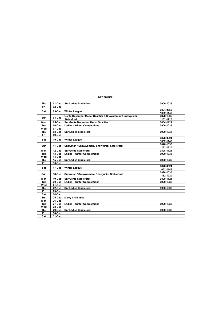| <b>DECEMBER</b> |          |                                                         |           |  |
|-----------------|----------|---------------------------------------------------------|-----------|--|
| Thu             | 01-Dec   | <b>Snr Ladies Stableford</b>                            | 0900-1036 |  |
| Fri             | 02-Dec   |                                                         |           |  |
| Sat             | 03-Dec   | <b>Winter League</b>                                    | 0804-0852 |  |
|                 |          |                                                         | 1052-1148 |  |
| <b>Sun</b>      | $04-Dec$ | Gents December Medal Qualifier + Snowwoman / Snowiunior | 0828-1036 |  |
|                 |          | <b>Stableford</b>                                       | 1132-1220 |  |
| Mon             | 05-Dec   | <b>Snr Gents December Medal Qualifier</b>               | 0804-1124 |  |
| Tue             | 06-Dec   | <b>Ladies - Winter Competitions</b>                     | 0900-1036 |  |
| Wed             | 07-Dec   |                                                         |           |  |
| <b>Thu</b>      | 08-Dec   | <b>Snr Ladies Stableford</b>                            | 0900-1036 |  |
| Fri             | 09-Dec   |                                                         |           |  |
| Sat             | 10-Dec   | <b>Winter League</b>                                    | 0828-0924 |  |
|                 |          |                                                         | 1052-1148 |  |
| <b>Sun</b>      | 11-Dec   | Snowman / Snowwoman / Snowjunior Stableford             | 0828-1036 |  |
|                 |          |                                                         | 1132-1220 |  |
| Mon             | 12-Dec   | <b>Snr Gents Stableford</b>                             | 0828-1124 |  |
| Tue             | 13-Dec   | <b>Ladies - Winter Competitions</b>                     | 0900-1036 |  |
| Wed             | 14-Dec   |                                                         |           |  |
| Thu             | 15-Dec   | <b>Snr Ladies Stableford</b>                            | 0900-1036 |  |
| Fri             | 16-Dec   |                                                         |           |  |
| Sat             | 17-Dec   | <b>Winter League</b>                                    | 0828-0924 |  |
|                 |          |                                                         | 1052-1148 |  |
| <b>Sun</b>      | 18-Dec   | Snowman / Snowwoman / Snowjunior Stableford             | 0828-1036 |  |
|                 |          |                                                         | 1132-1220 |  |
| Mon             | 19-Dec   | <b>Snr Gents Stableford</b>                             | 0828-1124 |  |
| Tue             | 20-Dec   | <b>Ladies - Winter Competitions</b>                     | 0900-1036 |  |
| Wed             | 21-Dec   |                                                         |           |  |
| Thu             | 22-Dec   | <b>Snr Ladies Stableford</b>                            | 0900-1036 |  |
| Fri             | 23-Dec   |                                                         |           |  |
| Sat             | 24-Dec   |                                                         |           |  |
| Sun             | 25-Dec   | <b>Merry Christmas</b>                                  |           |  |
| Mon             | 26-Dec   |                                                         |           |  |
| Tue             | 27-Dec   | <b>Ladies - Winter Competitions</b>                     | 0900-1036 |  |
| Wed             | 28-Dec   |                                                         |           |  |
| <b>Thu</b>      | 29-Dec   | <b>Snr Ladies Stableford</b>                            | 0900-1036 |  |
| Fri             | 30-Dec   |                                                         |           |  |
| Sat             | 31-Dec   |                                                         |           |  |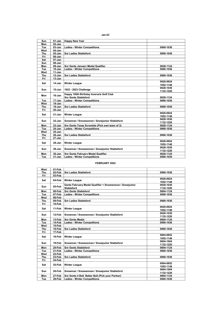| … |
|---|
|---|

| Sun        | $01$ -Jan  | <b>Happy New Year</b>                         |           |
|------------|------------|-----------------------------------------------|-----------|
| Mon        | 02-Jan     |                                               |           |
| Tue        | 03-Jan     | <b>Ladies - Winter Competitions</b>           | 0900-1036 |
| Wed        | $04$ -Jan  |                                               |           |
| <b>Thu</b> | $05$ -Jan  | <b>Snr Ladies Stableford</b>                  | 0900-1036 |
| Fri        | 06-Jan     |                                               |           |
| Sat        | 07-Jan     |                                               |           |
| Sun        | 08-Jan     |                                               |           |
| Mon        | 09-Jan     | <b>Snr Gents January Medal Qualifier</b>      | 0828-1124 |
| Tue        | $10 - Jan$ | <b>Ladies - Winter Competitions</b>           | 0900-1036 |
| Wed        | $11-Jan$   |                                               |           |
| <b>Thu</b> | $12$ -Jan  | <b>Snr Ladies Stableford</b>                  | 0900-1036 |
| Fri        | 13-Jan     |                                               |           |
|            |            |                                               | 0828-0924 |
| Sat        | $14$ -Jan  | <b>Winter League</b>                          | 1052-1148 |
|            |            |                                               | 0828-1036 |
| <b>Sun</b> | $15$ -Jan  | 1923 - 2023 Challenge                         | 1132-1220 |
|            |            | Happy 100th Birthday Inverurie Golf Club      |           |
| Mon        | $16$ -Jan  | <b>Snr Gents Stableford</b>                   | 0828-1124 |
| Tue        | 17-Jan     | <b>Ladies - Winter Competitions</b>           | 0900-1036 |
| Wed        | 18-Jan     |                                               |           |
|            |            |                                               |           |
| Thu        | 19-Jan     | <b>Snr Ladies Stableford</b>                  | 0900-1036 |
| Fri        | 20-Jan     |                                               |           |
| Sat        | $21$ -Jan  | <b>Winter League</b>                          | 0828-0924 |
|            |            |                                               | 1052-1148 |
| Sun        | 22-Jan     | Snowman / Snowwoman / Snowjunior Stableford   | 0828-1036 |
|            |            |                                               | 1132-1220 |
| Mon        | 23-Jan     | Snr Gents Texas Scramble (Pick own team of 3) | 0828-1124 |
| Tue        | 24-Jan     | <b>Ladies - Winter Competitions</b>           | 0900-1036 |
| Wed        | $25 - Jan$ |                                               |           |
| <b>Thu</b> | 26-Jan     | <b>Snr Ladies Stableford</b>                  | 0900-1036 |
| Fri        | 27-Jan     |                                               |           |
| Sat        | 28-Jan     | <b>Winter League</b>                          | 0828-0924 |
|            |            |                                               | 1052-1148 |
| Sun        | $29$ -Jan  | Snowman / Snowwoman / Snowjunior Stableford   | 0828-1036 |
|            |            |                                               | 1132-1220 |
| Mon        | 30-Jan     | <b>Snr Gents February Medal Qualifier</b>     | 0828-1124 |
| Tue        | $31$ -Jan  | <b>Ladies - Winter Competitions</b>           | 0900-1036 |

#### FEBRUARY 2022

| Wed        | 01-Feb |                                                         |           |
|------------|--------|---------------------------------------------------------|-----------|
| <b>Thu</b> | 02-Feb | <b>Snr Ladies Stableford</b>                            | 0900-1036 |
| Fri        | 03-Feb |                                                         |           |
| Sat        |        |                                                         | 0828-0924 |
|            | 04-Feb | <b>Winter League</b>                                    | 1052-1148 |
|            | 05-Feb | Gents February Medal Qualifier + Snowwoman / Snowjunior | 0828-1036 |
| Sun        |        | Stableford                                              | 1132-1220 |
| Mon        | 06-Feb | <b>Snr Gents Stableford</b>                             | 0804-1124 |
| Tue        | 07-Feb | <b>Ladies - Winter Competitions</b>                     | 0900-1036 |
| Wed        | 08-Feb |                                                         |           |
| <b>Thu</b> | 09-Feb | <b>Snr Ladies Stableford</b>                            | 0900-1036 |
| Fri        | 10-Feb |                                                         |           |
|            |        |                                                         | 0828-0924 |
| Sat        | 11-Feb | <b>Winter League</b>                                    | 1052-1148 |
|            |        |                                                         | 0828-1036 |
| Sun        | 12-Feb | Snowman / Snowwoman / Snowjunior Stableford             | 1132-1220 |
| Mon        | 13-Feb | <b>Snr Gents Medal</b>                                  | 0804-1124 |
| Tue        | 14-Feb | <b>Ladies - Winter Competitions</b>                     | 0900-1036 |
| Wed        | 15-Feb |                                                         |           |
| Thu        | 16-Feb | <b>Snr Ladies Stableford</b>                            | 0900-1036 |
| Fri        | 17-Feb |                                                         |           |
|            | 18-Feb | <b>Winter League</b>                                    | 0804-0852 |
| Sat        |        |                                                         | 1052-1148 |
|            | 19-Feb | Snowman / Snowwoman / Snowjunior Stableford             | 0804-1004 |
| Sun        |        |                                                         | 1132-1220 |
| Mon        | 20-Feb | <b>Snr Gents Stableford</b>                             | 0804-1124 |
| Tue        | 21-Feb | <b>Ladies - Winter Competitions</b>                     | 0900-1036 |
| Wed        | 22-Feb |                                                         |           |
| Thu        | 23-Feb | <b>Snr Ladies Stableford</b>                            | 0900-1036 |
| Fri        | 24-Feb |                                                         |           |
|            | 25-Feb |                                                         | 0804-0852 |
| Sat        |        | <b>Winter League</b>                                    | 1052-1148 |
| Sun        | 26-Feb | Snowman / Snowwoman / Snowjunior Stableford             | 0804-1004 |
|            |        |                                                         | 1132-1220 |
| Mon        | 27-Feb | Snr Gents 4 Ball Better Ball (Pick your Partner)        | 0804-1124 |
| Tue        | 28-Feb | <b>Ladies - Winter Competitions</b>                     | 0900-1036 |
|            |        |                                                         |           |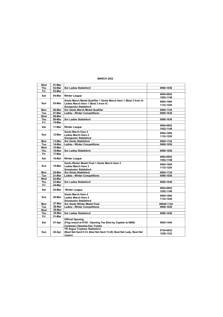#### MARCH 2022

| Wed        | 01-Mar |                                                                   |            |
|------------|--------|-------------------------------------------------------------------|------------|
| Thu        | 02-Mar | <b>Snr Ladies Stableford</b>                                      | 0900-1036  |
| Fri        | 03-Mar |                                                                   |            |
|            |        |                                                                   | 0804-0852  |
| Sat        | 04-Mar | <b>Winter League</b>                                              | 1052-1148  |
|            |        | Gents March Medal Qualifier + Gents March Hare 1 (Best 3 from 4)  | 0804-1004  |
| Sun        | 05-Mar | Ladies March Hare 1 (Best 3 from 4)                               | 1132-1220  |
|            |        | <b>Snowiunior Stableford</b>                                      |            |
| Mon        | 06-Mar | <b>Snr Gents March Medal Qualifier</b>                            | 0804-1124  |
| Tue        | 07-Mar | <b>Ladies - Winter Competitions</b>                               | 0900-1036  |
| Wed        | 08-Mar |                                                                   |            |
| Thu        | 09-Mar | <b>Snr Ladies Stableford</b>                                      | 0900-1036  |
| Fri        | 10-Mar |                                                                   |            |
|            |        |                                                                   | 0804-0852  |
| Sat        | 11-Mar | <b>Winter League</b>                                              | 1052-1148  |
|            |        | Gents March Hare 2                                                |            |
| Sun        | 12-Mar | <b>Ladies March Hare 2</b>                                        | 0804-1004  |
|            |        | <b>Snowiunior Stableford</b>                                      | 1132-1220  |
| Mon        | 13-Mar | <b>Snr Gents Stableford</b>                                       | 0804-1124  |
| Tue        | 14-Mar | <b>Ladies - Winter Competitions</b>                               | 0900-1036  |
| Wed        | 15-Mar |                                                                   |            |
| Thu        | 16-Mar | <b>Snr Ladies Stableford</b>                                      | 0900-1036  |
| Fri        | 17-Mar |                                                                   |            |
|            |        |                                                                   | 0804-0852  |
| Sat        | 18-Mar | <b>Winter League</b>                                              | 1052-1148  |
|            |        | Gents Winter Medal Final + Gents March Hare 3                     |            |
| Sun        | 19-Mar | Ladies March Hare 3                                               | 0804-1004  |
|            |        | <b>Snowjunior Stableford</b>                                      | 1132-1220  |
| Mon        | 20-Mar | <b>Snr Gents Stableford</b>                                       | 0804-1124  |
| Tue        | 21-Mar | <b>Ladies - Winter Competitions</b>                               | 0900-1036  |
| Wed        | 22-Mar |                                                                   |            |
| Thu        | 23-Mar | <b>Snr Ladies Stableford</b>                                      | 0900-1036  |
|            |        |                                                                   |            |
| Fri        | 24-Mar |                                                                   | 0804-0852  |
| Sat        | 25-Mar | <b>Winter League</b>                                              |            |
|            |        |                                                                   | 1052-1148  |
| <b>Sun</b> | 26-Mar | Gents March Hare 4                                                | 0804-1004  |
|            |        | Ladies March Hare 4                                               | 1132-1220  |
|            | 27-Mar | <b>Snowiunior Stableford</b>                                      |            |
| Mon        | 28-Mar | <b>Snr Gents Winter Medal Final</b>                               | 08040-1124 |
| Tue<br>Wed | 29-Mar | <b>Ladies - Winter Competitions</b>                               | 0900-1036  |
|            |        |                                                                   |            |
| <b>Thu</b> | 30-Mar | <b>Snr Ladies Stableford</b>                                      | 0900-1036  |
| Fri        | 31-Mar |                                                                   |            |
|            |        | <b>Official Opening</b>                                           |            |
| Sat        | 01-Apr | (Flag raised at 0745 - Opening Tee Shot by Captain at 0800)       | 0804-1444  |
|            |        | Centenary Opening Day Trophy                                      |            |
|            |        | <b>TR Angus Trophies Stableford</b>                               | 0724-0932  |
| <b>Sun</b> | 02-Apr | (Best Net Gent 0-12, Best Net Gent 13-28, Best Net Lady, Best Net | 1228-1332  |
|            |        | Junior)                                                           |            |